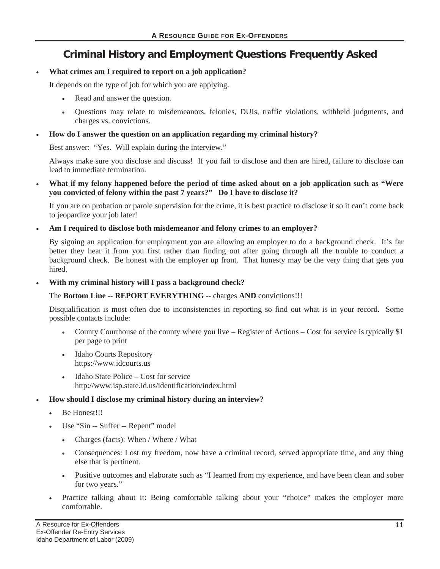## **Criminal History and Employment Questions Frequently Asked**

## x **What crimes am I required to report on a job application?**

It depends on the type of job for which you are applying.

- Read and answer the question.
- x Questions may relate to misdemeanors, felonies, DUIs, traffic violations, withheld judgments, and charges vs. convictions.
- x **How do I answer the question on an application regarding my criminal history?**

Best answer: "Yes. Will explain during the interview."

Always make sure you disclose and discuss! If you fail to disclose and then are hired, failure to disclose can lead to immediate termination.

x **What if my felony happened before the period of time asked about on a job application such as "Were you convicted of felony within the past 7 years?" Do I have to disclose it?** 

If you are on probation or parole supervision for the crime, it is best practice to disclose it so it can't come back to jeopardize your job later!

Am I required to disclose both misdemeanor and felony crimes to an employer?

By signing an application for employment you are allowing an employer to do a background check. It's far better they hear it from you first rather than finding out after going through all the trouble to conduct a background check. Be honest with the employer up front. That honesty may be the very thing that gets you hired.

x **With my criminal history will I pass a background check?** 

The **Bottom Line** -- **REPORT EVERYTHING** -- charges **AND** convictions!!!

Disqualification is most often due to inconsistencies in reporting so find out what is in your record. Some possible contacts include:

- County Courthouse of the county where you live Register of Actions Cost for service is typically  $$1$ per page to print
- Idaho Courts Repository https://www.idcourts.us
- $\bullet$  Idaho State Police Cost for service http://www.isp.state.id.us/identification/index.html

## x **How should I disclose my criminal history during an interview?**

- Be Honest!!!
- Use "Sin -- Suffer -- Repent" model
	- Charges (facts): When / Where / What
	- Consequences: Lost my freedom, now have a criminal record, served appropriate time, and any thing else that is pertinent.
	- Positive outcomes and elaborate such as "I learned from my experience, and have been clean and sober for two years."
- Practice talking about it: Being comfortable talking about your "choice" makes the employer more comfortable.